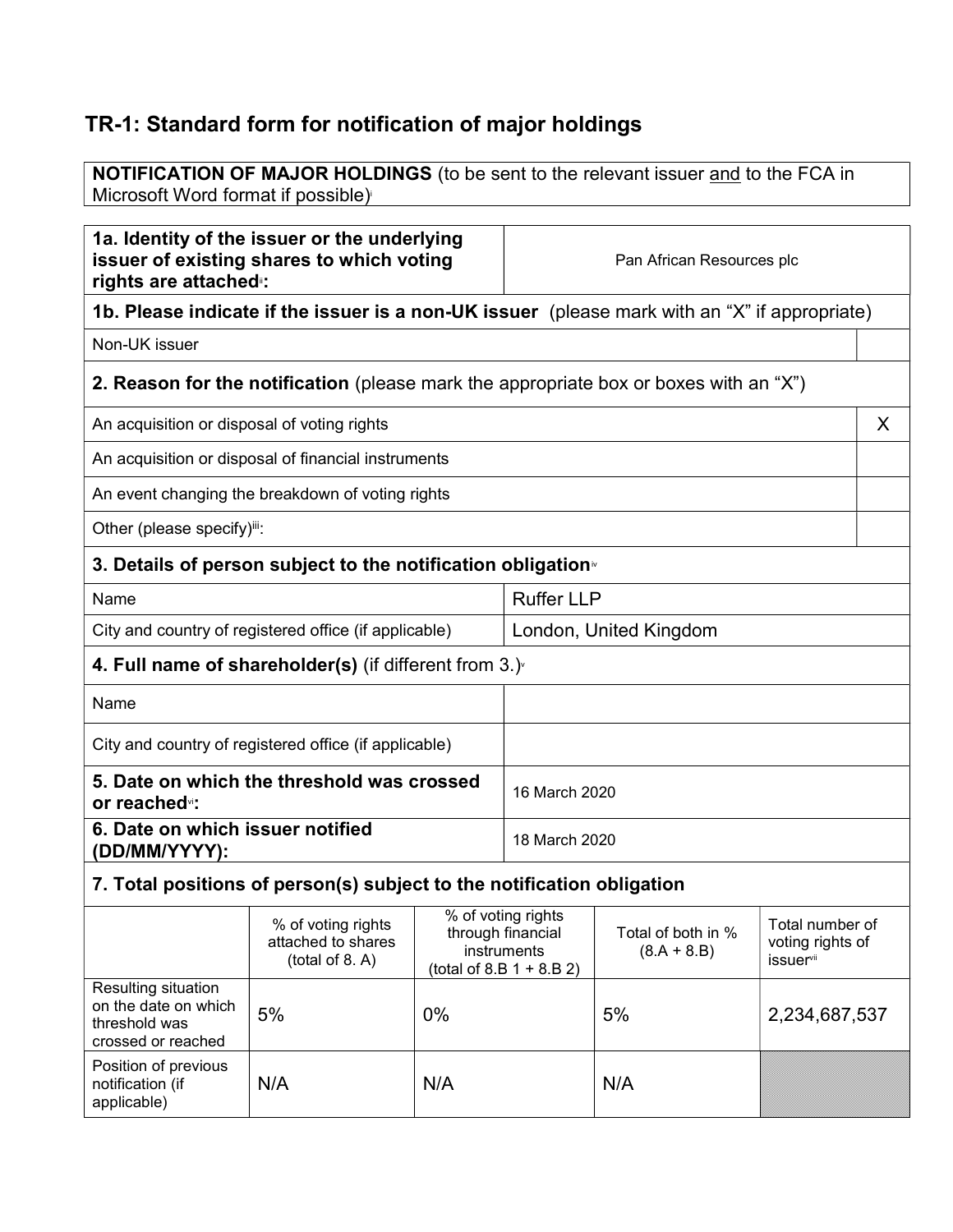# TR-1: Standard form for notification of major holdings

**NOTIFICATION OF MAJOR HOLDINGS** (to be sent to the relevant issuer and to the FCA in Microsoft Word format if possible)

| 1a. Identity of the issuer or the underlying<br>issuer of existing shares to which voting<br>rights are attached :: |                                                                                               |                                                        | Pan African Resources plc |                                     |                                                  |
|---------------------------------------------------------------------------------------------------------------------|-----------------------------------------------------------------------------------------------|--------------------------------------------------------|---------------------------|-------------------------------------|--------------------------------------------------|
|                                                                                                                     | 1b. Please indicate if the issuer is a non-UK issuer (please mark with an "X" if appropriate) |                                                        |                           |                                     |                                                  |
| Non-UK issuer                                                                                                       |                                                                                               |                                                        |                           |                                     |                                                  |
|                                                                                                                     | <b>2. Reason for the notification</b> (please mark the appropriate box or boxes with an "X")  |                                                        |                           |                                     |                                                  |
| An acquisition or disposal of voting rights                                                                         |                                                                                               |                                                        |                           |                                     | X                                                |
|                                                                                                                     | An acquisition or disposal of financial instruments                                           |                                                        |                           |                                     |                                                  |
|                                                                                                                     | An event changing the breakdown of voting rights                                              |                                                        |                           |                                     |                                                  |
| Other (please specify)iii:                                                                                          |                                                                                               |                                                        |                           |                                     |                                                  |
|                                                                                                                     | 3. Details of person subject to the notification obligation                                   |                                                        |                           |                                     |                                                  |
| Name                                                                                                                |                                                                                               |                                                        | <b>Ruffer LLP</b>         |                                     |                                                  |
| City and country of registered office (if applicable)                                                               |                                                                                               |                                                        |                           | London, United Kingdom              |                                                  |
|                                                                                                                     | 4. Full name of shareholder(s) (if different from $3.$ )                                      |                                                        |                           |                                     |                                                  |
| Name                                                                                                                |                                                                                               |                                                        |                           |                                     |                                                  |
| City and country of registered office (if applicable)                                                               |                                                                                               |                                                        |                           |                                     |                                                  |
| 5. Date on which the threshold was crossed<br>or reached <sup>v</sup> :                                             |                                                                                               | 16 March 2020                                          |                           |                                     |                                                  |
| 6. Date on which issuer notified<br>(DD/MM/YYYY):                                                                   |                                                                                               | 18 March 2020                                          |                           |                                     |                                                  |
| 7. Total positions of person(s) subject to the notification obligation                                              |                                                                                               |                                                        |                           |                                     |                                                  |
|                                                                                                                     | % of voting rights<br>attached to shares<br>$(total of Q \Lambda)$                            | % of voting rights<br>through financial<br>instruments |                           | Total of both in %<br>$(8.A + 8.B)$ | Total number of<br>voting rights of<br>iccuorvii |

|                                                                                    | (total of 8. A) | msuunents<br>$(total of 8.B 1 + 8.B 2)$ | $(0.A + 0.D)$ | <i>issuer</i> <sup>vii</sup> |
|------------------------------------------------------------------------------------|-----------------|-----------------------------------------|---------------|------------------------------|
| Resulting situation<br>on the date on which<br>threshold was<br>crossed or reached | 5%              | $0\%$                                   | 5%            | 2,234,687,537                |
| Position of previous<br>notification (if<br>applicable)                            | N/A             | N/A                                     | N/A           |                              |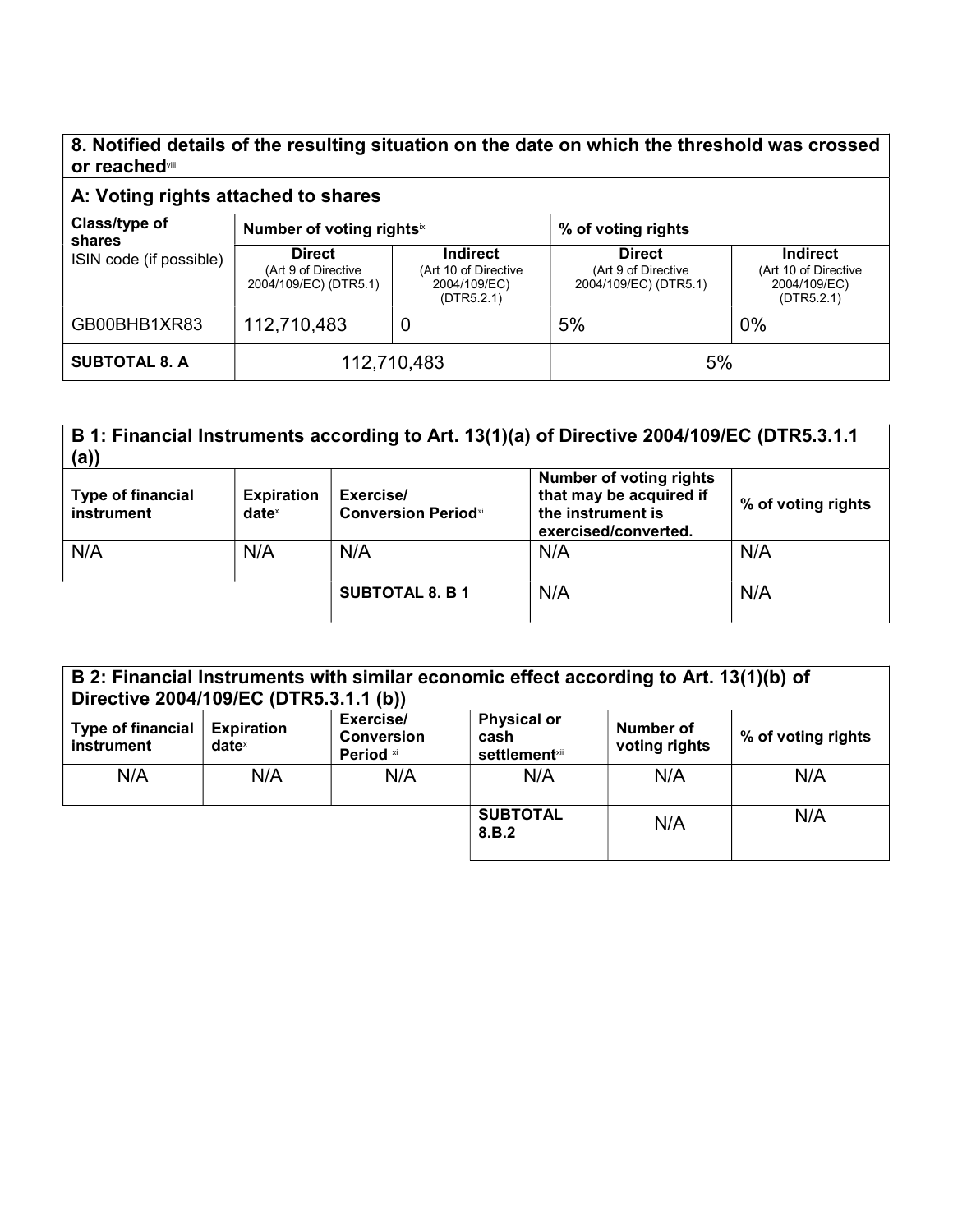#### 8. Notified details of the resulting situation on the date on which the threshold was crossed or reachedvill

### A: Voting rights attached to shares

| Class/type of<br>shares<br>ISIN code (if possible) | Number of voting rightsix                                     |                                                                       | % of voting rights                                            |                                                                       |
|----------------------------------------------------|---------------------------------------------------------------|-----------------------------------------------------------------------|---------------------------------------------------------------|-----------------------------------------------------------------------|
|                                                    | <b>Direct</b><br>(Art 9 of Directive<br>2004/109/EC) (DTR5.1) | <b>Indirect</b><br>(Art 10 of Directive<br>2004/109/EC)<br>(DTR5.2.1) | <b>Direct</b><br>(Art 9 of Directive<br>2004/109/EC) (DTR5.1) | <b>Indirect</b><br>(Art 10 of Directive<br>2004/109/EC)<br>(DTR5.2.1) |
| GB00BHB1XR83                                       | 112,710,483                                                   | U                                                                     | 5%                                                            | $0\%$                                                                 |
| <b>SUBTOTAL 8. A</b>                               | 112,710,483                                                   |                                                                       | 5%                                                            |                                                                       |

# B 1: Financial Instruments according to Art. 13(1)(a) of Directive 2004/109/EC (DTR5.3.1.1 (a))

| <b>Type of financial</b><br>instrument | <b>Expiration</b><br>$date^x$ | Exercise/<br><b>Conversion Periodxi</b> | <b>Number of voting rights</b><br>that may be acquired if<br>the instrument is<br>exercised/converted. | % of voting rights |
|----------------------------------------|-------------------------------|-----------------------------------------|--------------------------------------------------------------------------------------------------------|--------------------|
| N/A                                    | N/A                           | N/A                                     | N/A                                                                                                    | N/A                |
|                                        |                               | <b>SUBTOTAL 8. B 1</b>                  | N/A                                                                                                    | N/A                |

| B 2: Financial Instruments with similar economic effect according to Art. 13(1)(b) of<br>Directive 2004/109/EC (DTR5.3.1.1 (b)) |                               |                                                               |                                                     |                            |                    |
|---------------------------------------------------------------------------------------------------------------------------------|-------------------------------|---------------------------------------------------------------|-----------------------------------------------------|----------------------------|--------------------|
| Type of financial<br>instrument                                                                                                 | <b>Expiration</b><br>$date^x$ | Exercise/<br><b>Conversion</b><br><b>Period</b> <sup>xi</sup> | <b>Physical or</b><br>cash<br><b>settlement</b> xii | Number of<br>voting rights | % of voting rights |
| N/A                                                                                                                             | N/A                           | N/A                                                           | N/A                                                 | N/A                        | N/A                |

SUBTOTAL | N/A | N/A<br>8.B.2